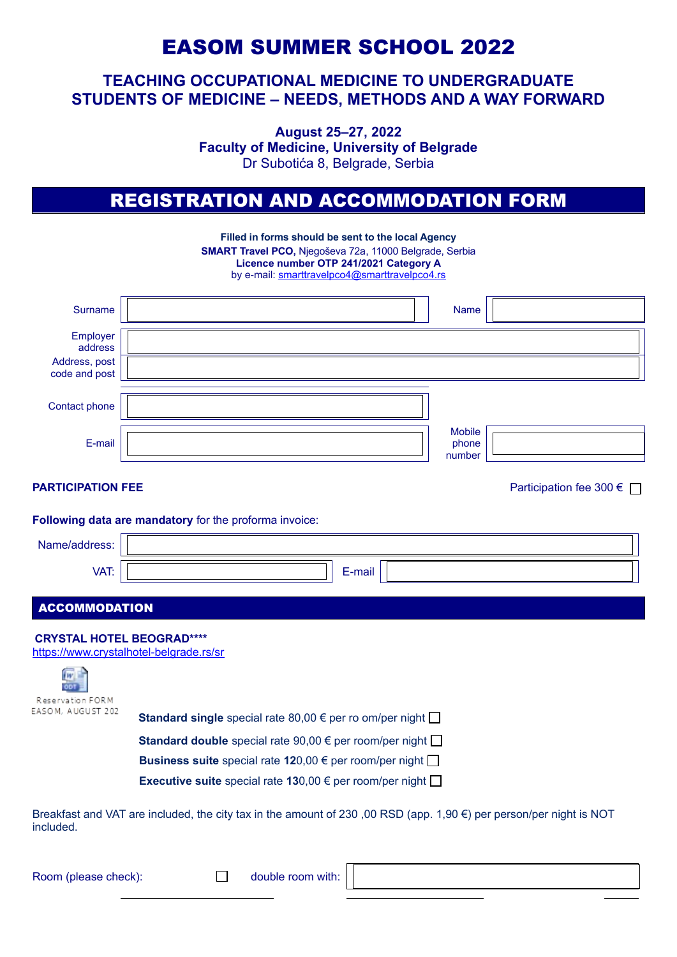# EASOM SUMMER SCHOOL 2022

## **TEACHING OCCUPATIONAL MEDICINE TO UNDERGRADUATE STUDENTS OF MEDICINE – NEEDS, METHODS AND A WAY FORWARD**

**August 25–27, 2022 Faculty of Medicine, University of Belgrade** Dr Subotića 8, Belgrade, Serbia

# REGISTRATION AND ACCOMMODATION FORM

|                                                                         | Filled in forms should be sent to the local Agency<br>SMART Travel PCO, Njegoševa 72a, 11000 Belgrade, Serbia<br>Licence number OTP 241/2021 Category A<br>by e-mail: smarttravelpco4@smarttravelpco4.rs |                                  |                           |  |
|-------------------------------------------------------------------------|----------------------------------------------------------------------------------------------------------------------------------------------------------------------------------------------------------|----------------------------------|---------------------------|--|
| <b>Surname</b>                                                          |                                                                                                                                                                                                          | Name                             |                           |  |
| Employer<br>address                                                     |                                                                                                                                                                                                          |                                  |                           |  |
| Address, post<br>code and post                                          |                                                                                                                                                                                                          |                                  |                           |  |
| Contact phone                                                           |                                                                                                                                                                                                          |                                  |                           |  |
| E-mail                                                                  |                                                                                                                                                                                                          | <b>Mobile</b><br>phone<br>number |                           |  |
| <b>PARTICIPATION FEE</b>                                                |                                                                                                                                                                                                          |                                  | Participation fee 300 € □ |  |
|                                                                         | Following data are mandatory for the proforma invoice:                                                                                                                                                   |                                  |                           |  |
| Name/address:                                                           |                                                                                                                                                                                                          |                                  |                           |  |
| VAT:                                                                    | E-mail                                                                                                                                                                                                   |                                  |                           |  |
| <b>ACCOMMODATION</b>                                                    |                                                                                                                                                                                                          |                                  |                           |  |
| <b>CRYSTAL HOTEL BEOGRAD****</b><br>Reservation FORM                    | https://www.crystalhotel-belgrade.rs/sr                                                                                                                                                                  |                                  |                           |  |
| EASOM, AUGUST 202                                                       | <b>Standard single</b> special rate 80,00 $\epsilon$ per ro om/per night $\Box$                                                                                                                          |                                  |                           |  |
|                                                                         | <b>Standard double</b> special rate 90,00 $\epsilon$ per room/per night $\Box$                                                                                                                           |                                  |                           |  |
| Business suite special rate 120,00 $\epsilon$ per room/per night $\Box$ |                                                                                                                                                                                                          |                                  |                           |  |
|                                                                         | <b>Executive suite</b> special rate 130,00 $\epsilon$ per room/per night $\Box$                                                                                                                          |                                  |                           |  |

Breakfast and VAT are included, the city tax in the amount of 230 ,00 RSD (app. 1,90 €) per person/per night is NOT included.

Room (please check):  $\Box$  double room with: